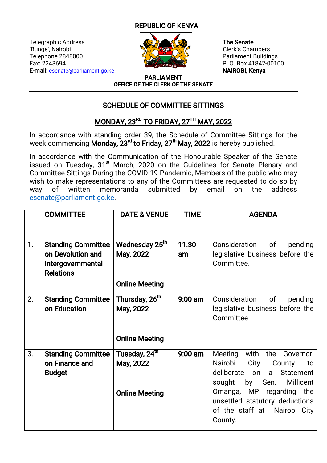## **REPUBLIC OF KENYA**

Telegraphic Address **The Senate The Senate** 'Bunge', Nairobi **Clerk's Chambers** Telephone 2848000 | CALL Parliament Buildings Fax:2243694 P.O.Box41842-00100 E-mail: csenate@parliament.go.ke **NAIROBI, Kenya** 



PARLIAMENT OFFICE OF THE CLERK OF THE SENATE

## SCHEDULE OF COMMITTEE SITTINGS

## MONDAY, 23RD TO FRIDAY, 27TH MAY, 2022

In accordance with standing order 39, the Schedule of Committee Sittings for the week commencing Monday, 23<sup>rd</sup> to Friday, 27<sup>th</sup> May, 2022 is hereby published.

In accordance with the Communication of the Honourable Speaker of the Senate issued on Tuesday, 31<sup>st</sup> March, 2020 on the Guidelines for Senate Plenary and Committee Sittings During the COVID-19 Pandemic, Members of the public who may wish to make representations to any of the Committees are requested to do so by way of written memoranda submitted by email on the address csenate@parliament.go.ke.

|    | <b>COMMITTEE</b>                                                                        | <b>DATE &amp; VENUE</b>                                          | <b>TIME</b> | <b>AGENDA</b>                                                                                                                                                                                                                         |
|----|-----------------------------------------------------------------------------------------|------------------------------------------------------------------|-------------|---------------------------------------------------------------------------------------------------------------------------------------------------------------------------------------------------------------------------------------|
|    |                                                                                         |                                                                  |             |                                                                                                                                                                                                                                       |
| 1. | <b>Standing Committee</b><br>on Devolution and<br>Intergovernmental<br><b>Relations</b> | Wednesday 25 <sup>th</sup><br>May, 2022<br><b>Online Meeting</b> | 11.30<br>am | Consideration of<br>pending<br>legislative business before the<br>Committee.                                                                                                                                                          |
| 2. | <b>Standing Committee</b><br>on Education                                               | Thursday, 26 <sup>th</sup><br>May, 2022<br><b>Online Meeting</b> | $9:00$ am   | Consideration of<br>pending<br>legislative business before the<br>Committee                                                                                                                                                           |
| 3. | <b>Standing Committee</b><br>on Finance and<br><b>Budget</b>                            | Tuesday, 24 <sup>th</sup><br>May, 2022<br><b>Online Meeting</b>  | $9:00$ am   | Meeting<br>with the<br>Governor,<br>City<br>Nairobi<br>County<br>to<br>deliberate on a Statement<br>sought by Sen. Millicent<br>Omanga, MP regarding the<br>unsettled statutory deductions<br>of the staff at Nairobi City<br>County. |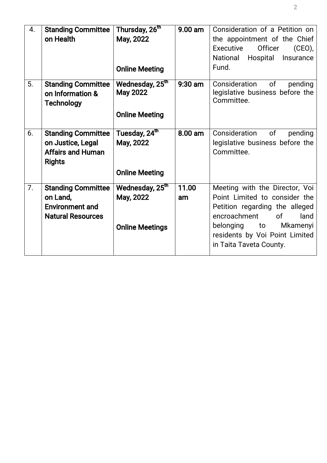| 4. | <b>Standing Committee</b><br>on Health                                                      | Thursday, 26 <sup>th</sup><br>May, 2022<br><b>Online Meeting</b>        | $9.00$ am   | Consideration of a Petition on<br>the appointment of the Chief<br>Officer<br>Executive<br>(CEO)<br>Hospital<br>National<br>Insurance<br>Fund.                                                                                    |
|----|---------------------------------------------------------------------------------------------|-------------------------------------------------------------------------|-------------|----------------------------------------------------------------------------------------------------------------------------------------------------------------------------------------------------------------------------------|
| 5. | <b>Standing Committee</b><br>on Information &<br><b>Technology</b>                          | Wednesday, 25 <sup>th</sup><br><b>May 2022</b><br><b>Online Meeting</b> | 9:30 am     | of<br>Consideration<br>pending<br>legislative business before the<br>Committee.                                                                                                                                                  |
| 6. | <b>Standing Committee</b><br>on Justice, Legal<br><b>Affairs and Human</b><br><b>Rights</b> | Tuesday, 24 <sup>th</sup><br>May, 2022<br><b>Online Meeting</b>         | 8.00 am     | Consideration<br>of<br>pending<br>legislative business before the<br>Committee.                                                                                                                                                  |
| 7. | <b>Standing Committee</b><br>on Land,<br><b>Environment and</b><br><b>Natural Resources</b> | Wednesday, 25 <sup>th</sup><br>May, 2022<br><b>Online Meetings</b>      | 11.00<br>am | Meeting with the Director, Voi<br>Point Limited to consider the<br>Petition regarding the alleged<br>encroachment<br><sub>of</sub><br>land<br>belonging to Mkamenyi<br>residents by Voi Point Limited<br>in Taita Taveta County. |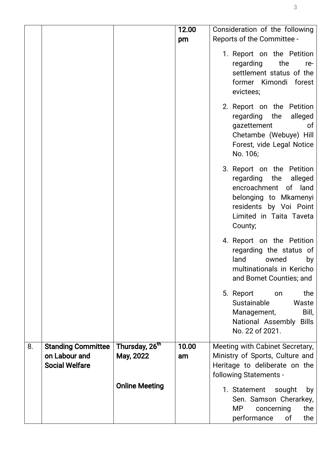|    |                           |                            | 12.00 | Consideration of the following                                                                                                                                               |
|----|---------------------------|----------------------------|-------|------------------------------------------------------------------------------------------------------------------------------------------------------------------------------|
|    |                           |                            | pm    | Reports of the Committee -                                                                                                                                                   |
|    |                           |                            |       | 1. Report on the Petition<br>regarding<br>the<br>re-<br>settlement status of the<br>former Kimondi forest<br>evictees;                                                       |
|    |                           |                            |       | 2. Report on the Petition<br>regarding<br>the<br>alleged<br>gazettement<br>0f<br>Chetambe (Webuye) Hill<br>Forest, vide Legal Notice<br>No. 106;                             |
|    |                           |                            |       | 3. Report on the Petition<br>regarding<br>the<br>alleged<br>encroachment<br>of land<br>belonging to Mkamenyi<br>residents by Voi Point<br>Limited in Taita Taveta<br>County; |
|    |                           |                            |       | 4. Report on the Petition<br>regarding the status of<br>land<br>owned<br>by<br>multinationals in Kericho<br>and Bomet Counties; and                                          |
|    |                           |                            |       | the<br>5. Report<br>on<br>Sustainable<br>Waste<br>Bill,<br>Management,<br>National Assembly Bills<br>No. 22 of 2021.                                                         |
| 8. | <b>Standing Committee</b> | Thursday, 26 <sup>th</sup> | 10.00 | Meeting with Cabinet Secretary,                                                                                                                                              |
|    | on Labour and             | May, 2022                  | am    | Ministry of Sports, Culture and                                                                                                                                              |
|    | <b>Social Welfare</b>     |                            |       | Heritage to deliberate on the<br>following Statements -                                                                                                                      |
|    |                           | <b>Online Meeting</b>      |       |                                                                                                                                                                              |
|    |                           |                            |       | 1. Statement<br>sought<br>by<br>Sen. Samson Cherarkey,<br><b>MP</b><br>the<br>concerning<br>the<br>performance<br>of                                                         |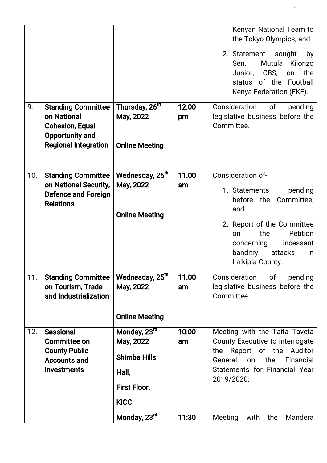| 9.  | <b>Standing Committee</b>                                                                                    | Thursday, 26 <sup>th</sup>                                                                               | 12.00                | Kenyan National Team to<br>the Tokyo Olympics; and<br>2. Statement<br>sought<br>by<br>Mutula Kilonzo<br>Sen.<br>Junior, CBS,<br>the<br>on<br>status of the Football<br>Kenya Federation (FKF).<br>Consideration<br>of<br>pending |
|-----|--------------------------------------------------------------------------------------------------------------|----------------------------------------------------------------------------------------------------------|----------------------|----------------------------------------------------------------------------------------------------------------------------------------------------------------------------------------------------------------------------------|
|     | on National<br><b>Cohesion, Equal</b><br>Opportunity and<br><b>Regional Integration</b>                      | May, 2022<br><b>Online Meeting</b>                                                                       | pm                   | legislative business before the<br>Committee.                                                                                                                                                                                    |
| 10. | <b>Standing Committee</b><br>on National Security,<br><b>Defence and Foreign</b><br><b>Relations</b>         | Wednesday, 25 <sup>th</sup><br>May, 2022<br><b>Online Meeting</b>                                        | 11.00<br>am          | Consideration of-<br>1. Statements<br>pending<br>Committee;<br>before the<br>and<br>2. Report of the Committee<br>the<br>Petition<br>on<br>concerning<br>incessant<br>banditry<br>attacks<br>in<br>Laikipia County.              |
| 11. | <b>Standing Committee</b><br>on Tourism, Trade<br>and Industrialization                                      | Wednesday, 25th<br>May, 2022<br><b>Online Meeting</b>                                                    | 11.00<br>am          | Consideration<br>of<br>pending<br>legislative business before the<br>Committee.                                                                                                                                                  |
| 12. | <b>Sessional</b><br><b>Committee on</b><br><b>County Public</b><br><b>Accounts and</b><br><b>Investments</b> | Monday, 23rd<br>May, 2022<br><b>Shimba Hills</b><br>Hall,<br>First Floor,<br><b>KICC</b><br>Monday, 23rd | 10:00<br>am<br>11:30 | Meeting with the Taita Taveta<br>County Executive to interrogate<br>Report of the Auditor<br>the<br>General<br>the<br>Financial<br>on<br>Statements for Financial Year<br>2019/2020.<br>Meeting<br>Mandera<br>with<br>the        |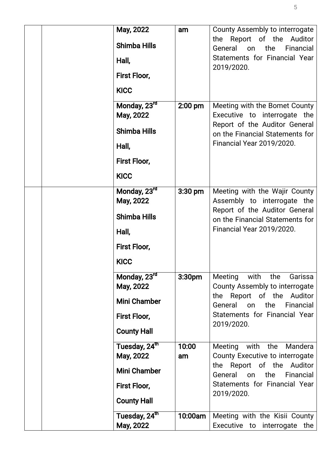| May, 2022<br><b>Shimba Hills</b><br>Hall,<br>First Floor,                                                             | am                 | County Assembly to interrogate<br>the Report of the Auditor<br>General on<br>the<br>Financial<br>Statements for Financial Year<br>2019/2020.                                         |
|-----------------------------------------------------------------------------------------------------------------------|--------------------|--------------------------------------------------------------------------------------------------------------------------------------------------------------------------------------|
| <b>KICC</b><br>Monday, 23rd<br>May, 2022<br><b>Shimba Hills</b><br>Hall,<br>First Floor,                              | $2:00$ pm          | Meeting with the Bomet County<br>Executive to interrogate the<br>Report of the Auditor General<br>on the Financial Statements for<br>Financial Year 2019/2020.                       |
| <b>KICC</b><br>Monday, 23rd<br>May, 2022<br><b>Shimba Hills</b><br>Hall,                                              | $3:30$ pm          | Meeting with the Wajir County<br>Assembly to interrogate the<br>Report of the Auditor General<br>on the Financial Statements for<br>Financial Year 2019/2020.                        |
| First Floor,<br><b>KICC</b><br>Monday, 23rd<br>May, 2022<br><b>Mini Chamber</b><br>First Floor,<br><b>County Hall</b> | 3:30 <sub>pm</sub> | Meeting<br>with<br>the<br>Garissa<br>County Assembly to interrogate<br>the Report of the Auditor<br>General<br>on<br>the<br>Financial<br>Statements for Financial Year<br>2019/2020. |
| Tuesday, 24 <sup>th</sup><br>May, 2022<br><b>Mini Chamber</b><br>First Floor,<br><b>County Hall</b>                   | 10:00<br>am        | Meeting with the<br>Mandera<br>County Executive to interrogate<br>the Report of the Auditor<br>General<br>the<br>Financial<br>on<br>Statements for Financial Year<br>2019/2020.      |
| Tuesday, 24 <sup>th</sup><br>May, 2022                                                                                | 10:00am            | Meeting with the Kisii County<br>Executive to interrogate the                                                                                                                        |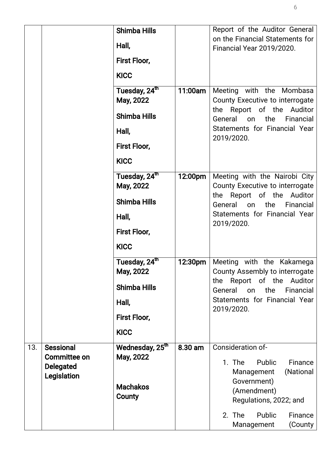|     |                                         | <b>Shimba Hills</b><br>Hall,             |         | Report of the Auditor General<br>on the Financial Statements for                                              |
|-----|-----------------------------------------|------------------------------------------|---------|---------------------------------------------------------------------------------------------------------------|
|     |                                         | First Floor,                             |         | <b>Financial Year 2019/2020.</b>                                                                              |
|     |                                         | <b>KICC</b>                              |         |                                                                                                               |
|     |                                         | Tuesday, 24 <sup>th</sup><br>May, 2022   | 11:00am | Meeting with the Mombasa<br>County Executive to interrogate                                                   |
|     |                                         | <b>Shimba Hills</b>                      |         | the Report of the Auditor<br>General<br>the<br>on<br>Financial<br>Statements for Financial Year<br>2019/2020. |
|     |                                         | Hall,                                    |         |                                                                                                               |
|     |                                         | First Floor,<br><b>KICC</b>              |         |                                                                                                               |
|     |                                         | Tuesday, 24 <sup>th</sup><br>May, 2022   | 12:00pm | Meeting with the Nairobi City<br>County Executive to interrogate                                              |
|     |                                         | <b>Shimba Hills</b>                      |         | the Report of the Auditor<br>General<br>the<br>Financial<br>on<br>Statements for Financial Year<br>2019/2020. |
|     |                                         | Hall,                                    |         |                                                                                                               |
|     |                                         | First Floor,                             |         |                                                                                                               |
|     |                                         | <b>KICC</b><br>Tuesday, 24 <sup>th</sup> | 12:30pm | Meeting with the Kakamega                                                                                     |
|     |                                         | May, 2022                                |         | County Assembly to interrogate<br>Report of the<br>Auditor<br>the                                             |
|     |                                         | <b>Shimba Hills</b>                      |         | General<br>the<br>on<br>Financial<br>Statements for Financial Year                                            |
|     |                                         | Hall,<br>First Floor,                    |         | 2019/2020.                                                                                                    |
|     |                                         | <b>KICC</b>                              |         |                                                                                                               |
| 13. | <b>Sessional</b><br><b>Committee on</b> | Wednesday, 25 <sup>th</sup><br>May, 2022 | 8.30 am | Consideration of-<br>1. The<br>Public<br>Finance                                                              |
|     | <b>Delegated</b><br>Legislation         | <b>Machakos</b><br>County                |         | (National<br>Management<br>Government)<br>(Amendment)<br>Regulations, 2022; and                               |
|     |                                         |                                          |         | 2. The<br>Public<br>Finance<br>Management<br>(County                                                          |

6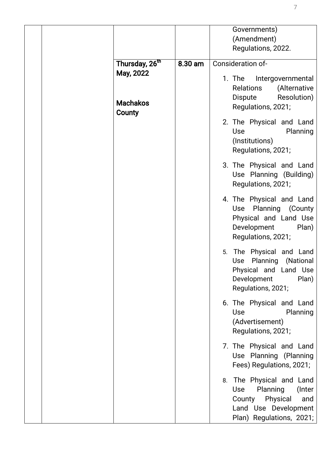|                                                                      |         | Governments)<br>(Amendment)<br>Regulations, 2022.                                                                                                |
|----------------------------------------------------------------------|---------|--------------------------------------------------------------------------------------------------------------------------------------------------|
| Thursday, 26 <sup>th</sup><br>May, 2022<br><b>Machakos</b><br>County | 8.30 am | Consideration of-<br>1. The Intergovernmental<br>(Alternative<br><b>Relations</b><br>Resolution)<br>Dispute<br>Regulations, 2021;                |
|                                                                      |         | 2. The Physical and Land<br><b>Use</b><br>Planning<br>(Institutions)<br>Regulations, 2021;                                                       |
|                                                                      |         | 3. The Physical and Land<br>Use Planning (Building)<br>Regulations, 2021;                                                                        |
|                                                                      |         | 4. The Physical and Land<br>Use Planning (County<br>Physical and Land Use<br>Development<br>Plan)<br>Regulations, 2021;                          |
|                                                                      |         | The Physical and Land<br>5.<br>Planning<br>(National<br>Use<br>Physical and Land Use<br>Development<br>Plan)<br>Regulations, 2021;               |
|                                                                      |         | 6. The Physical and Land<br><b>Use</b><br>Planning<br>(Advertisement)<br>Regulations, 2021;                                                      |
|                                                                      |         | 7. The Physical and Land<br>Use Planning (Planning<br>Fees) Regulations, 2021;                                                                   |
|                                                                      |         | The Physical and Land<br>8.<br>Planning<br><b>Use</b><br>(Inter<br>Physical<br>County<br>and<br>Land Use Development<br>Plan) Regulations, 2021; |